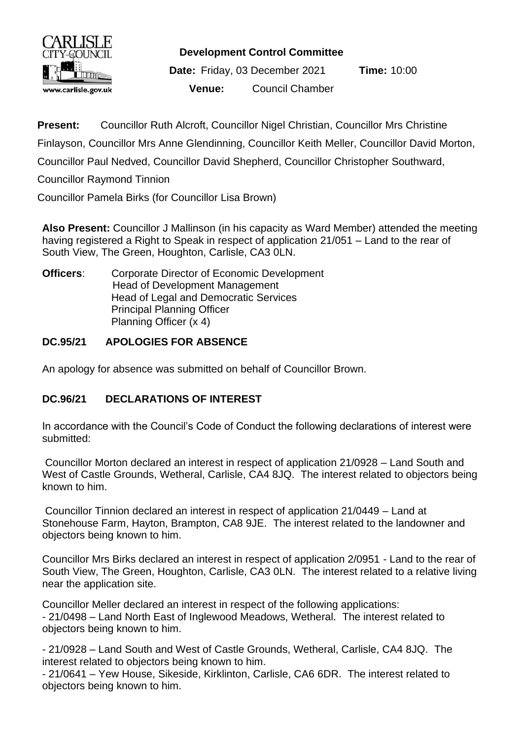

**Development Control Committee**

**Date:** Friday, 03 December 2021 **Time:** 10:00 **Venue:** Council Chamber

**Present:** Councillor Ruth Alcroft, Councillor Nigel Christian, Councillor Mrs Christine Finlayson, Councillor Mrs Anne Glendinning, Councillor Keith Meller, Councillor David Morton, Councillor Paul Nedved, Councillor David Shepherd, Councillor Christopher Southward, Councillor Raymond Tinnion

Councillor Pamela Birks (for Councillor Lisa Brown)

**Also Present:** Councillor J Mallinson (in his capacity as Ward Member) attended the meeting having registered a Right to Speak in respect of application 21/051 – Land to the rear of South View, The Green, Houghton, Carlisle, CA3 0LN.

**Officers**: Corporate Director of Economic Development Head of Development Management Head of Legal and Democratic Services Principal Planning Officer Planning Officer (x 4)

## **DC.95/21 APOLOGIES FOR ABSENCE**

An apology for absence was submitted on behalf of Councillor Brown.

## **DC.96/21 DECLARATIONS OF INTEREST**

In accordance with the Council's Code of Conduct the following declarations of interest were submitted:

Councillor Morton declared an interest in respect of application 21/0928 – Land South and West of Castle Grounds, Wetheral, Carlisle, CA4 8JQ. The interest related to objectors being known to him.

Councillor Tinnion declared an interest in respect of application 21/0449 – Land at Stonehouse Farm, Hayton, Brampton, CA8 9JE. The interest related to the landowner and objectors being known to him.

Councillor Mrs Birks declared an interest in respect of application 2/0951 - Land to the rear of South View, The Green, Houghton, Carlisle, CA3 0LN. The interest related to a relative living near the application site.

Councillor Meller declared an interest in respect of the following applications: - 21/0498 – Land North East of Inglewood Meadows, Wetheral. The interest related to objectors being known to him.

- 21/0928 – Land South and West of Castle Grounds, Wetheral, Carlisle, CA4 8JQ. The interest related to objectors being known to him.

- 21/0641 – Yew House, Sikeside, Kirklinton, Carlisle, CA6 6DR. The interest related to objectors being known to him.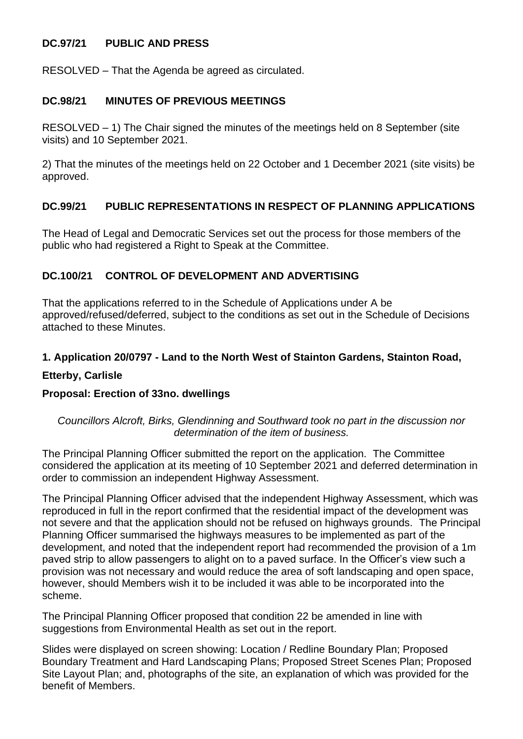## **DC.97/21 PUBLIC AND PRESS**

RESOLVED – That the Agenda be agreed as circulated.

### **DC.98/21 MINUTES OF PREVIOUS MEETINGS**

RESOLVED – 1) The Chair signed the minutes of the meetings held on 8 September (site visits) and 10 September 2021.

2) That the minutes of the meetings held on 22 October and 1 December 2021 (site visits) be approved.

### **DC.99/21 PUBLIC REPRESENTATIONS IN RESPECT OF PLANNING APPLICATIONS**

The Head of Legal and Democratic Services set out the process for those members of the public who had registered a Right to Speak at the Committee.

## **DC.100/21 CONTROL OF DEVELOPMENT AND ADVERTISING**

That the applications referred to in the Schedule of Applications under A be approved/refused/deferred, subject to the conditions as set out in the Schedule of Decisions attached to these Minutes.

#### **1. Application 20/0797 - Land to the North West of Stainton Gardens, Stainton Road,**

#### **Etterby, Carlisle**

#### **Proposal: Erection of 33no. dwellings**

#### *Councillors Alcroft, Birks, Glendinning and Southward took no part in the discussion nor determination of the item of business.*

The Principal Planning Officer submitted the report on the application. The Committee considered the application at its meeting of 10 September 2021 and deferred determination in order to commission an independent Highway Assessment.

The Principal Planning Officer advised that the independent Highway Assessment, which was reproduced in full in the report confirmed that the residential impact of the development was not severe and that the application should not be refused on highways grounds. The Principal Planning Officer summarised the highways measures to be implemented as part of the development, and noted that the independent report had recommended the provision of a 1m paved strip to allow passengers to alight on to a paved surface. In the Officer's view such a provision was not necessary and would reduce the area of soft landscaping and open space, however, should Members wish it to be included it was able to be incorporated into the scheme.

The Principal Planning Officer proposed that condition 22 be amended in line with suggestions from Environmental Health as set out in the report.

Slides were displayed on screen showing: Location / Redline Boundary Plan; Proposed Boundary Treatment and Hard Landscaping Plans; Proposed Street Scenes Plan; Proposed Site Layout Plan; and, photographs of the site, an explanation of which was provided for the benefit of Members.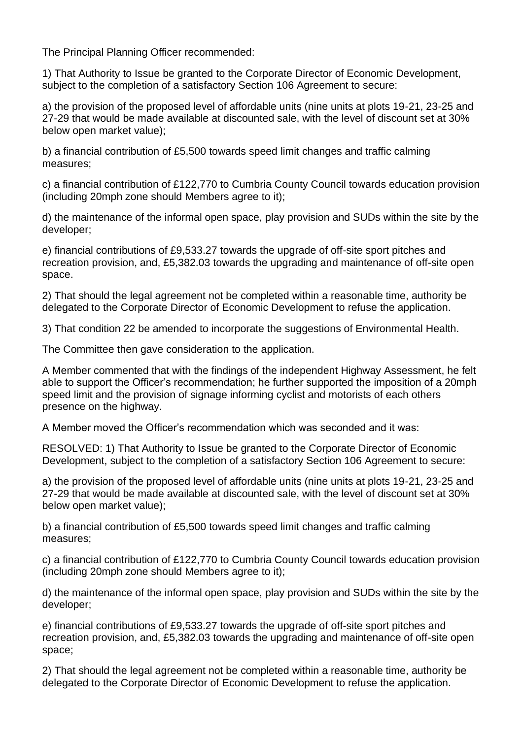The Principal Planning Officer recommended:

1) That Authority to Issue be granted to the Corporate Director of Economic Development, subject to the completion of a satisfactory Section 106 Agreement to secure:

a) the provision of the proposed level of affordable units (nine units at plots 19-21, 23-25 and 27-29 that would be made available at discounted sale, with the level of discount set at 30% below open market value);

b) a financial contribution of £5,500 towards speed limit changes and traffic calming measures;

c) a financial contribution of £122,770 to Cumbria County Council towards education provision (including 20mph zone should Members agree to it);

d) the maintenance of the informal open space, play provision and SUDs within the site by the developer;

e) financial contributions of £9,533.27 towards the upgrade of off-site sport pitches and recreation provision, and, £5,382.03 towards the upgrading and maintenance of off-site open space.

2) That should the legal agreement not be completed within a reasonable time, authority be delegated to the Corporate Director of Economic Development to refuse the application.

3) That condition 22 be amended to incorporate the suggestions of Environmental Health.

The Committee then gave consideration to the application.

A Member commented that with the findings of the independent Highway Assessment, he felt able to support the Officer's recommendation; he further supported the imposition of a 20mph speed limit and the provision of signage informing cyclist and motorists of each others presence on the highway.

A Member moved the Officer's recommendation which was seconded and it was:

RESOLVED: 1) That Authority to Issue be granted to the Corporate Director of Economic Development, subject to the completion of a satisfactory Section 106 Agreement to secure:

a) the provision of the proposed level of affordable units (nine units at plots 19-21, 23-25 and 27-29 that would be made available at discounted sale, with the level of discount set at 30% below open market value);

b) a financial contribution of £5,500 towards speed limit changes and traffic calming measures;

c) a financial contribution of £122,770 to Cumbria County Council towards education provision (including 20mph zone should Members agree to it);

d) the maintenance of the informal open space, play provision and SUDs within the site by the developer;

e) financial contributions of £9,533.27 towards the upgrade of off-site sport pitches and recreation provision, and, £5,382.03 towards the upgrading and maintenance of off-site open space;

2) That should the legal agreement not be completed within a reasonable time, authority be delegated to the Corporate Director of Economic Development to refuse the application.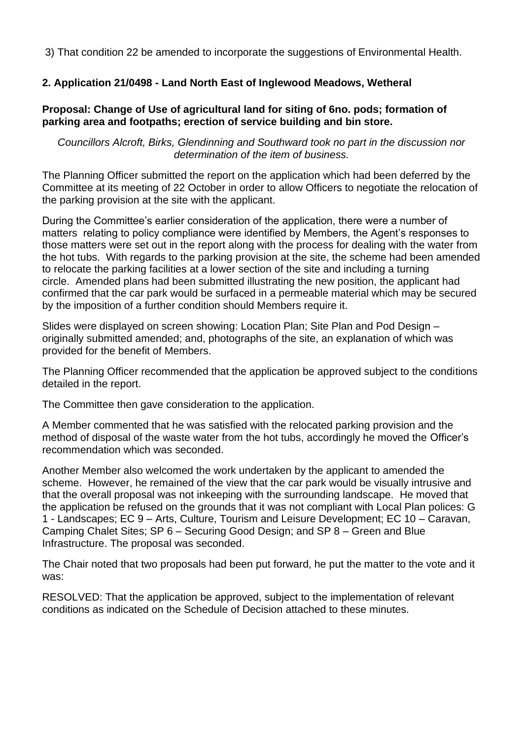3) That condition 22 be amended to incorporate the suggestions of Environmental Health.

## **2. Application 21/0498 - Land North East of Inglewood Meadows, Wetheral**

### **Proposal: Change of Use of agricultural land for siting of 6no. pods; formation of parking area and footpaths; erection of service building and bin store.**

*Councillors Alcroft, Birks, Glendinning and Southward took no part in the discussion nor determination of the item of business.* 

The Planning Officer submitted the report on the application which had been deferred by the Committee at its meeting of 22 October in order to allow Officers to negotiate the relocation of the parking provision at the site with the applicant.

During the Committee's earlier consideration of the application, there were a number of matters relating to policy compliance were identified by Members, the Agent's responses to those matters were set out in the report along with the process for dealing with the water from the hot tubs. With regards to the parking provision at the site, the scheme had been amended to relocate the parking facilities at a lower section of the site and including a turning circle. Amended plans had been submitted illustrating the new position, the applicant had confirmed that the car park would be surfaced in a permeable material which may be secured by the imposition of a further condition should Members require it.

Slides were displayed on screen showing: Location Plan; Site Plan and Pod Design – originally submitted amended; and, photographs of the site, an explanation of which was provided for the benefit of Members.

The Planning Officer recommended that the application be approved subject to the conditions detailed in the report.

The Committee then gave consideration to the application.

A Member commented that he was satisfied with the relocated parking provision and the method of disposal of the waste water from the hot tubs, accordingly he moved the Officer's recommendation which was seconded.

Another Member also welcomed the work undertaken by the applicant to amended the scheme. However, he remained of the view that the car park would be visually intrusive and that the overall proposal was not inkeeping with the surrounding landscape. He moved that the application be refused on the grounds that it was not compliant with Local Plan polices: G 1 - Landscapes; EC 9 – Arts, Culture, Tourism and Leisure Development; EC 10 – Caravan, Camping Chalet Sites; SP 6 – Securing Good Design; and SP 8 – Green and Blue Infrastructure. The proposal was seconded.

The Chair noted that two proposals had been put forward, he put the matter to the vote and it was:

RESOLVED: That the application be approved, subject to the implementation of relevant conditions as indicated on the Schedule of Decision attached to these minutes.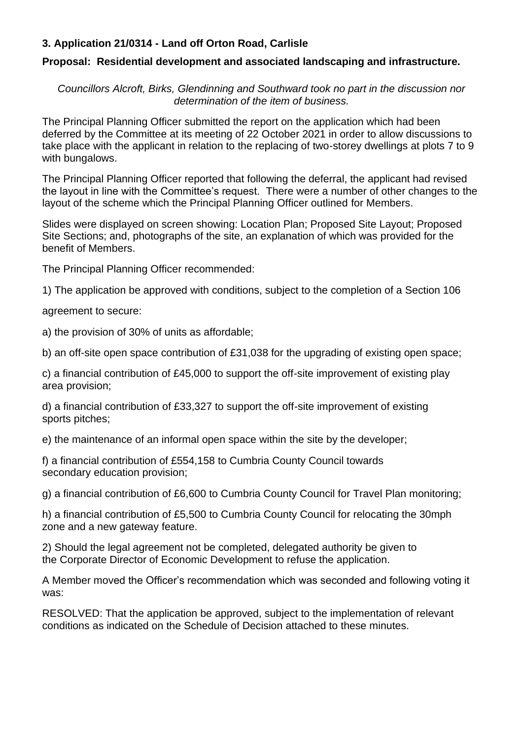## **3. Application 21/0314 - Land off Orton Road, Carlisle**

### **Proposal: Residential development and associated landscaping and infrastructure.**

*Councillors Alcroft, Birks, Glendinning and Southward took no part in the discussion nor determination of the item of business.* 

The Principal Planning Officer submitted the report on the application which had been deferred by the Committee at its meeting of 22 October 2021 in order to allow discussions to take place with the applicant in relation to the replacing of two-storey dwellings at plots 7 to 9 with bungalows.

The Principal Planning Officer reported that following the deferral, the applicant had revised the layout in line with the Committee's request. There were a number of other changes to the layout of the scheme which the Principal Planning Officer outlined for Members.

Slides were displayed on screen showing: Location Plan; Proposed Site Layout; Proposed Site Sections; and, photographs of the site, an explanation of which was provided for the benefit of Members.

The Principal Planning Officer recommended:

1) The application be approved with conditions, subject to the completion of a Section 106

agreement to secure:

a) the provision of 30% of units as affordable;

b) an off-site open space contribution of £31,038 for the upgrading of existing open space;

c) a financial contribution of £45,000 to support the off-site improvement of existing play area provision;

d) a financial contribution of £33,327 to support the off-site improvement of existing sports pitches;

e) the maintenance of an informal open space within the site by the developer;

f) a financial contribution of £554,158 to Cumbria County Council towards secondary education provision;

g) a financial contribution of £6,600 to Cumbria County Council for Travel Plan monitoring;

h) a financial contribution of £5,500 to Cumbria County Council for relocating the 30mph zone and a new gateway feature.

2) Should the legal agreement not be completed, delegated authority be given to the Corporate Director of Economic Development to refuse the application.

A Member moved the Officer's recommendation which was seconded and following voting it was:

RESOLVED: That the application be approved, subject to the implementation of relevant conditions as indicated on the Schedule of Decision attached to these minutes.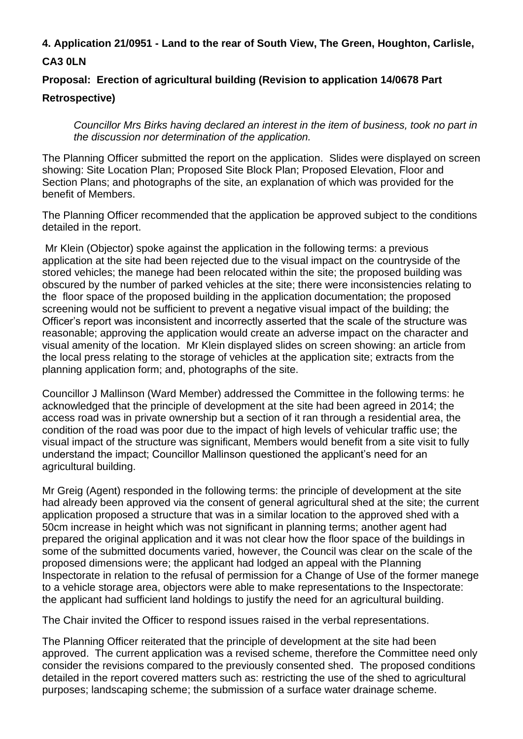# **4. Application 21/0951 - Land to the rear of South View, The Green, Houghton, Carlisle, CA3 0LN**

## **Proposal: Erection of agricultural building (Revision to application 14/0678 Part**

### **Retrospective)**

*Councillor Mrs Birks having declared an interest in the item of business, took no part in the discussion nor determination of the application.* 

The Planning Officer submitted the report on the application. Slides were displayed on screen showing: Site Location Plan; Proposed Site Block Plan; Proposed Elevation, Floor and Section Plans; and photographs of the site, an explanation of which was provided for the benefit of Members.

The Planning Officer recommended that the application be approved subject to the conditions detailed in the report.

Mr Klein (Objector) spoke against the application in the following terms: a previous application at the site had been rejected due to the visual impact on the countryside of the stored vehicles; the manege had been relocated within the site; the proposed building was obscured by the number of parked vehicles at the site; there were inconsistencies relating to the floor space of the proposed building in the application documentation; the proposed screening would not be sufficient to prevent a negative visual impact of the building; the Officer's report was inconsistent and incorrectly asserted that the scale of the structure was reasonable; approving the application would create an adverse impact on the character and visual amenity of the location. Mr Klein displayed slides on screen showing: an article from the local press relating to the storage of vehicles at the application site; extracts from the planning application form; and, photographs of the site.

Councillor J Mallinson (Ward Member) addressed the Committee in the following terms: he acknowledged that the principle of development at the site had been agreed in 2014; the access road was in private ownership but a section of it ran through a residential area, the condition of the road was poor due to the impact of high levels of vehicular traffic use; the visual impact of the structure was significant, Members would benefit from a site visit to fully understand the impact; Councillor Mallinson questioned the applicant's need for an agricultural building.

Mr Greig (Agent) responded in the following terms: the principle of development at the site had already been approved via the consent of general agricultural shed at the site; the current application proposed a structure that was in a similar location to the approved shed with a 50cm increase in height which was not significant in planning terms; another agent had prepared the original application and it was not clear how the floor space of the buildings in some of the submitted documents varied, however, the Council was clear on the scale of the proposed dimensions were; the applicant had lodged an appeal with the Planning Inspectorate in relation to the refusal of permission for a Change of Use of the former manege to a vehicle storage area, objectors were able to make representations to the Inspectorate: the applicant had sufficient land holdings to justify the need for an agricultural building.

The Chair invited the Officer to respond issues raised in the verbal representations.

The Planning Officer reiterated that the principle of development at the site had been approved. The current application was a revised scheme, therefore the Committee need only consider the revisions compared to the previously consented shed. The proposed conditions detailed in the report covered matters such as: restricting the use of the shed to agricultural purposes; landscaping scheme; the submission of a surface water drainage scheme.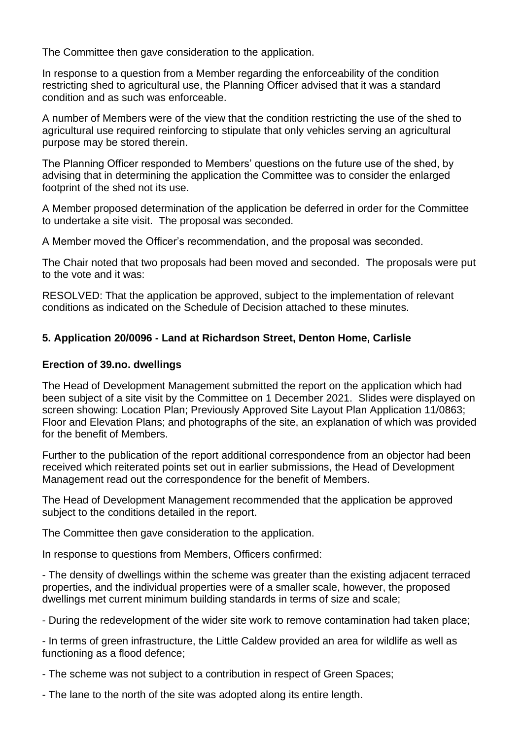The Committee then gave consideration to the application.

In response to a question from a Member regarding the enforceability of the condition restricting shed to agricultural use, the Planning Officer advised that it was a standard condition and as such was enforceable.

A number of Members were of the view that the condition restricting the use of the shed to agricultural use required reinforcing to stipulate that only vehicles serving an agricultural purpose may be stored therein.

The Planning Officer responded to Members' questions on the future use of the shed, by advising that in determining the application the Committee was to consider the enlarged footprint of the shed not its use.

A Member proposed determination of the application be deferred in order for the Committee to undertake a site visit. The proposal was seconded.

A Member moved the Officer's recommendation, and the proposal was seconded.

The Chair noted that two proposals had been moved and seconded. The proposals were put to the vote and it was:

RESOLVED: That the application be approved, subject to the implementation of relevant conditions as indicated on the Schedule of Decision attached to these minutes.

## **5. Application 20/0096 - Land at Richardson Street, Denton Home, Carlisle**

#### **Erection of 39.no. dwellings**

The Head of Development Management submitted the report on the application which had been subject of a site visit by the Committee on 1 December 2021. Slides were displayed on screen showing: Location Plan; Previously Approved Site Layout Plan Application 11/0863; Floor and Elevation Plans; and photographs of the site, an explanation of which was provided for the benefit of Members.

Further to the publication of the report additional correspondence from an objector had been received which reiterated points set out in earlier submissions, the Head of Development Management read out the correspondence for the benefit of Members.

The Head of Development Management recommended that the application be approved subject to the conditions detailed in the report.

The Committee then gave consideration to the application.

In response to questions from Members, Officers confirmed:

- The density of dwellings within the scheme was greater than the existing adjacent terraced properties, and the individual properties were of a smaller scale, however, the proposed dwellings met current minimum building standards in terms of size and scale;

- During the redevelopment of the wider site work to remove contamination had taken place;

- In terms of green infrastructure, the Little Caldew provided an area for wildlife as well as functioning as a flood defence;

- The scheme was not subject to a contribution in respect of Green Spaces;

- The lane to the north of the site was adopted along its entire length.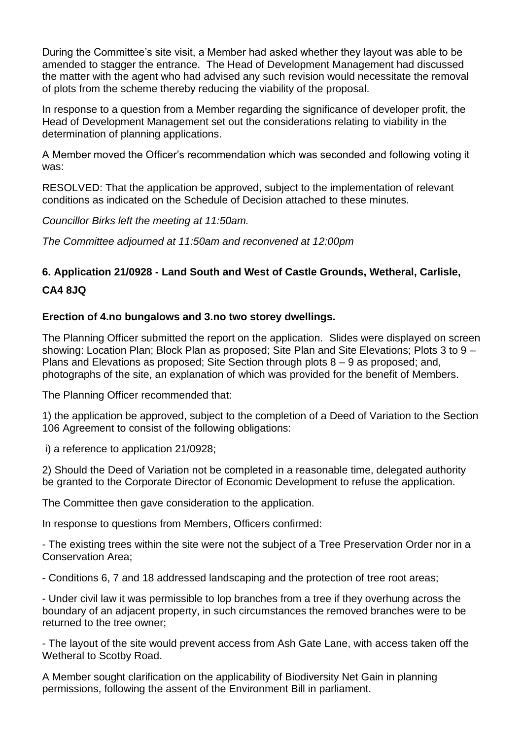During the Committee's site visit, a Member had asked whether they layout was able to be amended to stagger the entrance. The Head of Development Management had discussed the matter with the agent who had advised any such revision would necessitate the removal of plots from the scheme thereby reducing the viability of the proposal.

In response to a question from a Member regarding the significance of developer profit, the Head of Development Management set out the considerations relating to viability in the determination of planning applications.

A Member moved the Officer's recommendation which was seconded and following voting it was:

RESOLVED: That the application be approved, subject to the implementation of relevant conditions as indicated on the Schedule of Decision attached to these minutes.

*Councillor Birks left the meeting at 11:50am.*

*The Committee adjourned at 11:50am and reconvened at 12:00pm*

# **6. Application 21/0928 - Land South and West of Castle Grounds, Wetheral, Carlisle, CA4 8JQ**

#### **Erection of 4.no bungalows and 3.no two storey dwellings.**

The Planning Officer submitted the report on the application. Slides were displayed on screen showing: Location Plan; Block Plan as proposed; Site Plan and Site Elevations; Plots 3 to 9 – Plans and Elevations as proposed; Site Section through plots 8 – 9 as proposed; and, photographs of the site, an explanation of which was provided for the benefit of Members.

The Planning Officer recommended that:

1) the application be approved, subject to the completion of a Deed of Variation to the Section 106 Agreement to consist of the following obligations:

i) a reference to application 21/0928;

2) Should the Deed of Variation not be completed in a reasonable time, delegated authority be granted to the Corporate Director of Economic Development to refuse the application.

The Committee then gave consideration to the application.

In response to questions from Members, Officers confirmed:

- The existing trees within the site were not the subject of a Tree Preservation Order nor in a Conservation Area;

- Conditions 6, 7 and 18 addressed landscaping and the protection of tree root areas;

- Under civil law it was permissible to lop branches from a tree if they overhung across the boundary of an adjacent property, in such circumstances the removed branches were to be returned to the tree owner;

- The layout of the site would prevent access from Ash Gate Lane, with access taken off the Wetheral to Scotby Road.

A Member sought clarification on the applicability of Biodiversity Net Gain in planning permissions, following the assent of the Environment Bill in parliament.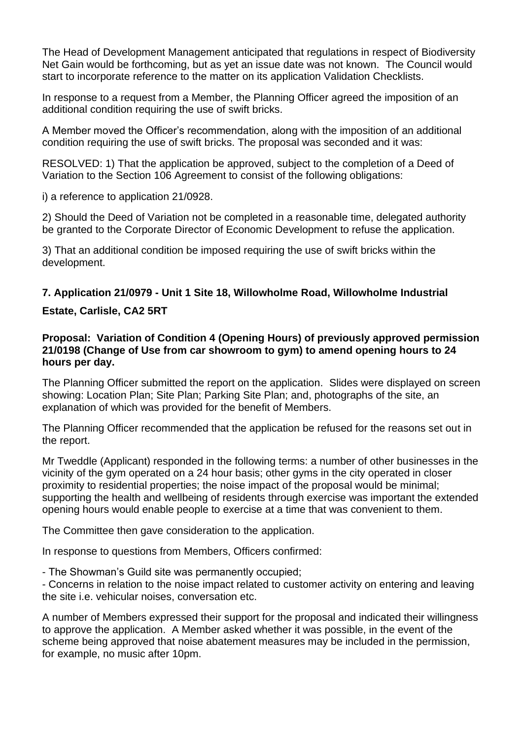The Head of Development Management anticipated that regulations in respect of Biodiversity Net Gain would be forthcoming, but as yet an issue date was not known. The Council would start to incorporate reference to the matter on its application Validation Checklists.

In response to a request from a Member, the Planning Officer agreed the imposition of an additional condition requiring the use of swift bricks.

A Member moved the Officer's recommendation, along with the imposition of an additional condition requiring the use of swift bricks. The proposal was seconded and it was:

RESOLVED: 1) That the application be approved, subject to the completion of a Deed of Variation to the Section 106 Agreement to consist of the following obligations:

i) a reference to application 21/0928.

2) Should the Deed of Variation not be completed in a reasonable time, delegated authority be granted to the Corporate Director of Economic Development to refuse the application.

3) That an additional condition be imposed requiring the use of swift bricks within the development.

## **7. Application 21/0979 - Unit 1 Site 18, Willowholme Road, Willowholme Industrial**

## **Estate, Carlisle, CA2 5RT**

#### **Proposal: Variation of Condition 4 (Opening Hours) of previously approved permission 21/0198 (Change of Use from car showroom to gym) to amend opening hours to 24 hours per day.**

The Planning Officer submitted the report on the application. Slides were displayed on screen showing: Location Plan; Site Plan; Parking Site Plan; and, photographs of the site, an explanation of which was provided for the benefit of Members.

The Planning Officer recommended that the application be refused for the reasons set out in the report.

Mr Tweddle (Applicant) responded in the following terms: a number of other businesses in the vicinity of the gym operated on a 24 hour basis; other gyms in the city operated in closer proximity to residential properties; the noise impact of the proposal would be minimal; supporting the health and wellbeing of residents through exercise was important the extended opening hours would enable people to exercise at a time that was convenient to them.

The Committee then gave consideration to the application.

In response to questions from Members, Officers confirmed:

- The Showman's Guild site was permanently occupied;

- Concerns in relation to the noise impact related to customer activity on entering and leaving the site i.e. vehicular noises, conversation etc.

A number of Members expressed their support for the proposal and indicated their willingness to approve the application. A Member asked whether it was possible, in the event of the scheme being approved that noise abatement measures may be included in the permission, for example, no music after 10pm.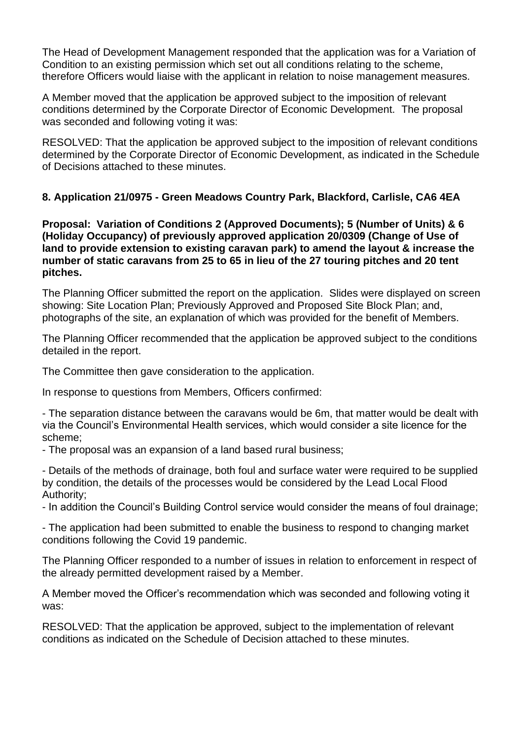The Head of Development Management responded that the application was for a Variation of Condition to an existing permission which set out all conditions relating to the scheme, therefore Officers would liaise with the applicant in relation to noise management measures.

A Member moved that the application be approved subject to the imposition of relevant conditions determined by the Corporate Director of Economic Development. The proposal was seconded and following voting it was:

RESOLVED: That the application be approved subject to the imposition of relevant conditions determined by the Corporate Director of Economic Development, as indicated in the Schedule of Decisions attached to these minutes.

## **8. Application 21/0975 - Green Meadows Country Park, Blackford, Carlisle, CA6 4EA**

**Proposal: Variation of Conditions 2 (Approved Documents); 5 (Number of Units) & 6 (Holiday Occupancy) of previously approved application 20/0309 (Change of Use of land to provide extension to existing caravan park) to amend the layout & increase the number of static caravans from 25 to 65 in lieu of the 27 touring pitches and 20 tent pitches.** 

The Planning Officer submitted the report on the application. Slides were displayed on screen showing: Site Location Plan; Previously Approved and Proposed Site Block Plan; and, photographs of the site, an explanation of which was provided for the benefit of Members.

The Planning Officer recommended that the application be approved subject to the conditions detailed in the report.

The Committee then gave consideration to the application.

In response to questions from Members, Officers confirmed:

- The separation distance between the caravans would be 6m, that matter would be dealt with via the Council's Environmental Health services, which would consider a site licence for the scheme;

- The proposal was an expansion of a land based rural business;

- Details of the methods of drainage, both foul and surface water were required to be supplied by condition, the details of the processes would be considered by the Lead Local Flood Authority;

- In addition the Council's Building Control service would consider the means of foul drainage;

- The application had been submitted to enable the business to respond to changing market conditions following the Covid 19 pandemic.

The Planning Officer responded to a number of issues in relation to enforcement in respect of the already permitted development raised by a Member.

A Member moved the Officer's recommendation which was seconded and following voting it was:

RESOLVED: That the application be approved, subject to the implementation of relevant conditions as indicated on the Schedule of Decision attached to these minutes.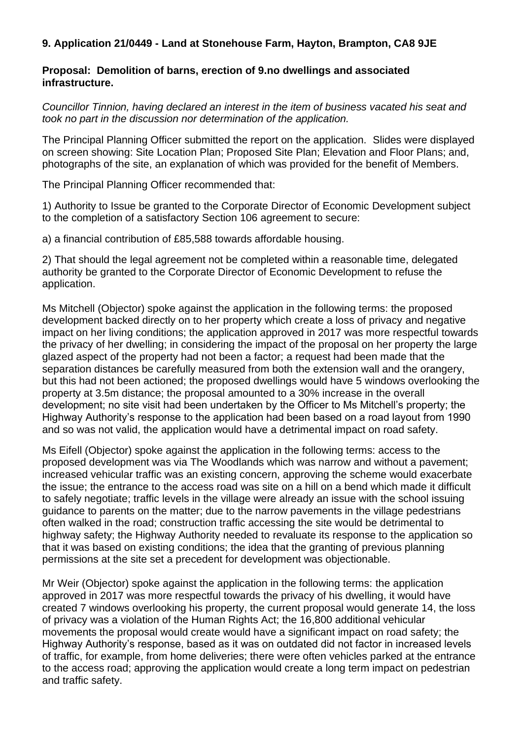### **9. Application 21/0449 - Land at Stonehouse Farm, Hayton, Brampton, CA8 9JE**

#### **Proposal: Demolition of barns, erection of 9.no dwellings and associated infrastructure.**

*Councillor Tinnion, having declared an interest in the item of business vacated his seat and took no part in the discussion nor determination of the application.*

The Principal Planning Officer submitted the report on the application. Slides were displayed on screen showing: Site Location Plan; Proposed Site Plan; Elevation and Floor Plans; and, photographs of the site, an explanation of which was provided for the benefit of Members.

The Principal Planning Officer recommended that:

1) Authority to Issue be granted to the Corporate Director of Economic Development subject to the completion of a satisfactory Section 106 agreement to secure:

a) a financial contribution of £85,588 towards affordable housing.

2) That should the legal agreement not be completed within a reasonable time, delegated authority be granted to the Corporate Director of Economic Development to refuse the application.

Ms Mitchell (Objector) spoke against the application in the following terms: the proposed development backed directly on to her property which create a loss of privacy and negative impact on her living conditions; the application approved in 2017 was more respectful towards the privacy of her dwelling; in considering the impact of the proposal on her property the large glazed aspect of the property had not been a factor; a request had been made that the separation distances be carefully measured from both the extension wall and the orangery, but this had not been actioned; the proposed dwellings would have 5 windows overlooking the property at 3.5m distance; the proposal amounted to a 30% increase in the overall development; no site visit had been undertaken by the Officer to Ms Mitchell's property; the Highway Authority's response to the application had been based on a road layout from 1990 and so was not valid, the application would have a detrimental impact on road safety.

Ms Eifell (Objector) spoke against the application in the following terms: access to the proposed development was via The Woodlands which was narrow and without a pavement; increased vehicular traffic was an existing concern, approving the scheme would exacerbate the issue; the entrance to the access road was site on a hill on a bend which made it difficult to safely negotiate; traffic levels in the village were already an issue with the school issuing guidance to parents on the matter; due to the narrow pavements in the village pedestrians often walked in the road; construction traffic accessing the site would be detrimental to highway safety; the Highway Authority needed to revaluate its response to the application so that it was based on existing conditions; the idea that the granting of previous planning permissions at the site set a precedent for development was objectionable.

Mr Weir (Objector) spoke against the application in the following terms: the application approved in 2017 was more respectful towards the privacy of his dwelling, it would have created 7 windows overlooking his property, the current proposal would generate 14, the loss of privacy was a violation of the Human Rights Act; the 16,800 additional vehicular movements the proposal would create would have a significant impact on road safety; the Highway Authority's response, based as it was on outdated did not factor in increased levels of traffic, for example, from home deliveries; there were often vehicles parked at the entrance to the access road; approving the application would create a long term impact on pedestrian and traffic safety.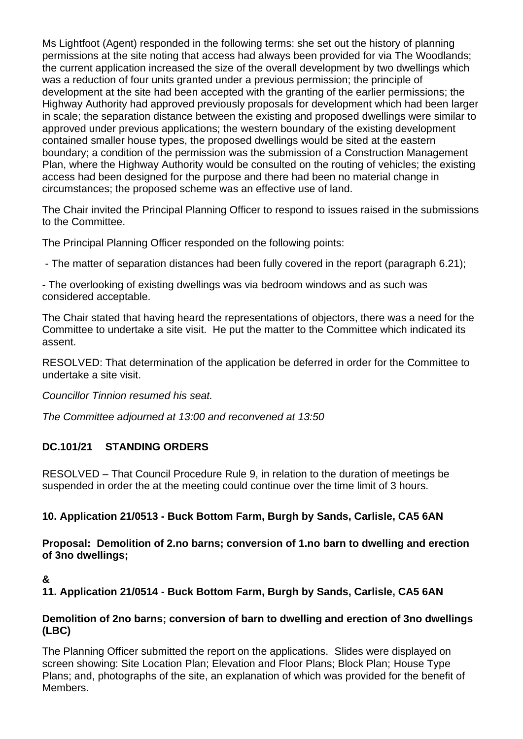Ms Lightfoot (Agent) responded in the following terms: she set out the history of planning permissions at the site noting that access had always been provided for via The Woodlands; the current application increased the size of the overall development by two dwellings which was a reduction of four units granted under a previous permission; the principle of development at the site had been accepted with the granting of the earlier permissions; the Highway Authority had approved previously proposals for development which had been larger in scale; the separation distance between the existing and proposed dwellings were similar to approved under previous applications; the western boundary of the existing development contained smaller house types, the proposed dwellings would be sited at the eastern boundary; a condition of the permission was the submission of a Construction Management Plan, where the Highway Authority would be consulted on the routing of vehicles; the existing access had been designed for the purpose and there had been no material change in circumstances; the proposed scheme was an effective use of land.

The Chair invited the Principal Planning Officer to respond to issues raised in the submissions to the Committee.

The Principal Planning Officer responded on the following points:

- The matter of separation distances had been fully covered in the report (paragraph 6.21);

- The overlooking of existing dwellings was via bedroom windows and as such was considered acceptable.

The Chair stated that having heard the representations of objectors, there was a need for the Committee to undertake a site visit. He put the matter to the Committee which indicated its assent.

RESOLVED: That determination of the application be deferred in order for the Committee to undertake a site visit.

*Councillor Tinnion resumed his seat.*

*The Committee adjourned at 13:00 and reconvened at 13:50*

## **DC.101/21 STANDING ORDERS**

RESOLVED – That Council Procedure Rule 9, in relation to the duration of meetings be suspended in order the at the meeting could continue over the time limit of 3 hours.

## **10. Application 21/0513 - Buck Bottom Farm, Burgh by Sands, Carlisle, CA5 6AN**

**Proposal: Demolition of 2.no barns; conversion of 1.no barn to dwelling and erection of 3no dwellings;**

## **&**

**11. Application 21/0514 - Buck Bottom Farm, Burgh by Sands, Carlisle, CA5 6AN**

### **Demolition of 2no barns; conversion of barn to dwelling and erection of 3no dwellings (LBC)**

The Planning Officer submitted the report on the applications. Slides were displayed on screen showing: Site Location Plan; Elevation and Floor Plans; Block Plan; House Type Plans; and, photographs of the site, an explanation of which was provided for the benefit of Members.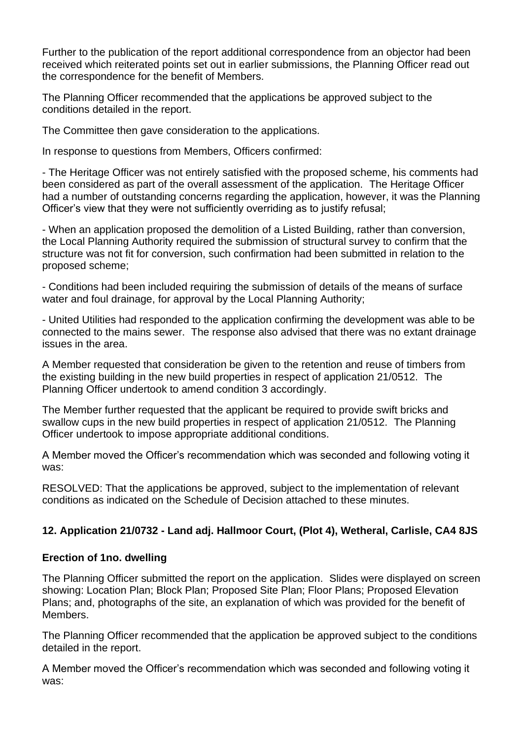Further to the publication of the report additional correspondence from an objector had been received which reiterated points set out in earlier submissions, the Planning Officer read out the correspondence for the benefit of Members.

The Planning Officer recommended that the applications be approved subject to the conditions detailed in the report.

The Committee then gave consideration to the applications.

In response to questions from Members, Officers confirmed:

- The Heritage Officer was not entirely satisfied with the proposed scheme, his comments had been considered as part of the overall assessment of the application. The Heritage Officer had a number of outstanding concerns regarding the application, however, it was the Planning Officer's view that they were not sufficiently overriding as to justify refusal;

- When an application proposed the demolition of a Listed Building, rather than conversion, the Local Planning Authority required the submission of structural survey to confirm that the structure was not fit for conversion, such confirmation had been submitted in relation to the proposed scheme;

- Conditions had been included requiring the submission of details of the means of surface water and foul drainage, for approval by the Local Planning Authority;

- United Utilities had responded to the application confirming the development was able to be connected to the mains sewer. The response also advised that there was no extant drainage issues in the area.

A Member requested that consideration be given to the retention and reuse of timbers from the existing building in the new build properties in respect of application 21/0512. The Planning Officer undertook to amend condition 3 accordingly.

The Member further requested that the applicant be required to provide swift bricks and swallow cups in the new build properties in respect of application 21/0512. The Planning Officer undertook to impose appropriate additional conditions.

A Member moved the Officer's recommendation which was seconded and following voting it was:

RESOLVED: That the applications be approved, subject to the implementation of relevant conditions as indicated on the Schedule of Decision attached to these minutes.

## **12. Application 21/0732 - Land adj. Hallmoor Court, (Plot 4), Wetheral, Carlisle, CA4 8JS**

## **Erection of 1no. dwelling**

The Planning Officer submitted the report on the application. Slides were displayed on screen showing: Location Plan; Block Plan; Proposed Site Plan; Floor Plans; Proposed Elevation Plans; and, photographs of the site, an explanation of which was provided for the benefit of Members.

The Planning Officer recommended that the application be approved subject to the conditions detailed in the report.

A Member moved the Officer's recommendation which was seconded and following voting it was: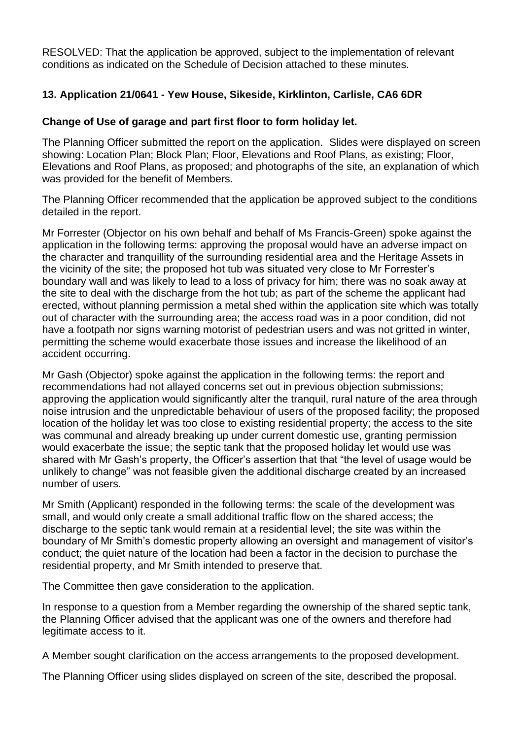RESOLVED: That the application be approved, subject to the implementation of relevant conditions as indicated on the Schedule of Decision attached to these minutes.

## **13. Application 21/0641 - Yew House, Sikeside, Kirklinton, Carlisle, CA6 6DR**

### **Change of Use of garage and part first floor to form holiday let.**

The Planning Officer submitted the report on the application. Slides were displayed on screen showing: Location Plan; Block Plan; Floor, Elevations and Roof Plans, as existing; Floor, Elevations and Roof Plans, as proposed; and photographs of the site, an explanation of which was provided for the benefit of Members.

The Planning Officer recommended that the application be approved subject to the conditions detailed in the report.

Mr Forrester (Objector on his own behalf and behalf of Ms Francis-Green) spoke against the application in the following terms: approving the proposal would have an adverse impact on the character and tranquillity of the surrounding residential area and the Heritage Assets in the vicinity of the site; the proposed hot tub was situated very close to Mr Forrester's boundary wall and was likely to lead to a loss of privacy for him; there was no soak away at the site to deal with the discharge from the hot tub; as part of the scheme the applicant had erected, without planning permission a metal shed within the application site which was totally out of character with the surrounding area; the access road was in a poor condition, did not have a footpath nor signs warning motorist of pedestrian users and was not gritted in winter, permitting the scheme would exacerbate those issues and increase the likelihood of an accident occurring.

Mr Gash (Objector) spoke against the application in the following terms: the report and recommendations had not allayed concerns set out in previous objection submissions; approving the application would significantly alter the tranquil, rural nature of the area through noise intrusion and the unpredictable behaviour of users of the proposed facility; the proposed location of the holiday let was too close to existing residential property; the access to the site was communal and already breaking up under current domestic use, granting permission would exacerbate the issue; the septic tank that the proposed holiday let would use was shared with Mr Gash's property, the Officer's assertion that that "the level of usage would be unlikely to change" was not feasible given the additional discharge created by an increased number of users.

Mr Smith (Applicant) responded in the following terms: the scale of the development was small, and would only create a small additional traffic flow on the shared access; the discharge to the septic tank would remain at a residential level; the site was within the boundary of Mr Smith's domestic property allowing an oversight and management of visitor's conduct; the quiet nature of the location had been a factor in the decision to purchase the residential property, and Mr Smith intended to preserve that.

The Committee then gave consideration to the application.

In response to a question from a Member regarding the ownership of the shared septic tank, the Planning Officer advised that the applicant was one of the owners and therefore had legitimate access to it.

A Member sought clarification on the access arrangements to the proposed development.

The Planning Officer using slides displayed on screen of the site, described the proposal.